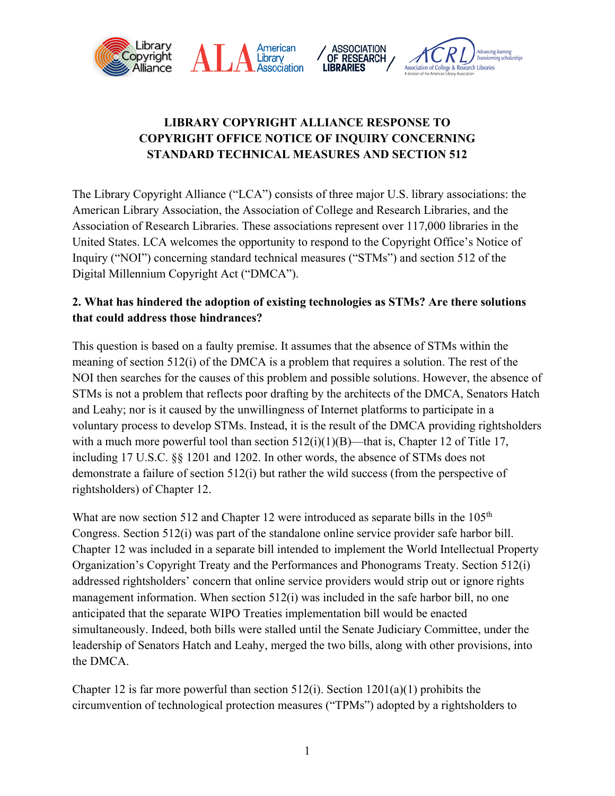

## **LIBRARY COPYRIGHT ALLIANCE RESPONSE TO COPYRIGHT OFFICE NOTICE OF INQUIRY CONCERNING STANDARD TECHNICAL MEASURES AND SECTION 512**

The Library Copyright Alliance ("LCA") consists of three major U.S. library associations: the American Library Association, the Association of College and Research Libraries, and the Association of Research Libraries. These associations represent over 117,000 libraries in the United States. LCA welcomes the opportunity to respond to the Copyright Office's Notice of Inquiry ("NOI") concerning standard technical measures ("STMs") and section 512 of the Digital Millennium Copyright Act ("DMCA").

## **2. What has hindered the adoption of existing technologies as STMs? Are there solutions that could address those hindrances?**

This question is based on a faulty premise. It assumes that the absence of STMs within the meaning of section 512(i) of the DMCA is a problem that requires a solution. The rest of the NOI then searches for the causes of this problem and possible solutions. However, the absence of STMs is not a problem that reflects poor drafting by the architects of the DMCA, Senators Hatch and Leahy; nor is it caused by the unwillingness of Internet platforms to participate in a voluntary process to develop STMs. Instead, it is the result of the DMCA providing rightsholders with a much more powerful tool than section  $512(i)(1)(B)$ —that is, Chapter 12 of Title 17, including 17 U.S.C. §§ 1201 and 1202. In other words, the absence of STMs does not demonstrate a failure of section 512(i) but rather the wild success (from the perspective of rightsholders) of Chapter 12.

What are now section 512 and Chapter 12 were introduced as separate bills in the  $105<sup>th</sup>$ Congress. Section 512(i) was part of the standalone online service provider safe harbor bill. Chapter 12 was included in a separate bill intended to implement the World Intellectual Property Organization's Copyright Treaty and the Performances and Phonograms Treaty. Section 512(i) addressed rightsholders' concern that online service providers would strip out or ignore rights management information. When section 512(i) was included in the safe harbor bill, no one anticipated that the separate WIPO Treaties implementation bill would be enacted simultaneously. Indeed, both bills were stalled until the Senate Judiciary Committee, under the leadership of Senators Hatch and Leahy, merged the two bills, along with other provisions, into the DMCA.

Chapter 12 is far more powerful than section  $512(i)$ . Section  $1201(a)(1)$  prohibits the circumvention of technological protection measures ("TPMs") adopted by a rightsholders to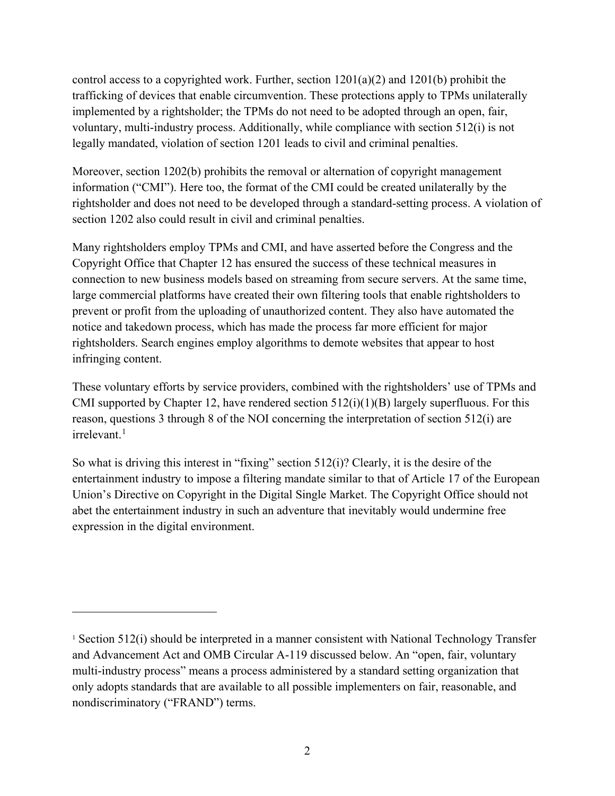control access to a copyrighted work. Further, section  $1201(a)(2)$  and  $1201(b)$  prohibit the trafficking of devices that enable circumvention. These protections apply to TPMs unilaterally implemented by a rightsholder; the TPMs do not need to be adopted through an open, fair, voluntary, multi-industry process. Additionally, while compliance with section 512(i) is not legally mandated, violation of section 1201 leads to civil and criminal penalties.

Moreover, section 1202(b) prohibits the removal or alternation of copyright management information ("CMI"). Here too, the format of the CMI could be created unilaterally by the rightsholder and does not need to be developed through a standard-setting process. A violation of section 1202 also could result in civil and criminal penalties.

Many rightsholders employ TPMs and CMI, and have asserted before the Congress and the Copyright Office that Chapter 12 has ensured the success of these technical measures in connection to new business models based on streaming from secure servers. At the same time, large commercial platforms have created their own filtering tools that enable rightsholders to prevent or profit from the uploading of unauthorized content. They also have automated the notice and takedown process, which has made the process far more efficient for major rightsholders. Search engines employ algorithms to demote websites that appear to host infringing content.

These voluntary efforts by service providers, combined with the rightsholders' use of TPMs and CMI supported by Chapter 12, have rendered section  $512(i)(1)(B)$  largely superfluous. For this reason, questions 3 through 8 of the NOI concerning the interpretation of section 512(i) are  $irrelevant.<sup>1</sup>$  $irrelevant.<sup>1</sup>$  $irrelevant.<sup>1</sup>$ 

So what is driving this interest in "fixing" section 512(i)? Clearly, it is the desire of the entertainment industry to impose a filtering mandate similar to that of Article 17 of the European Union's Directive on Copyright in the Digital Single Market. The Copyright Office should not abet the entertainment industry in such an adventure that inevitably would undermine free expression in the digital environment.

 $\overline{a}$ 

<span id="page-1-0"></span><sup>&</sup>lt;sup>1</sup> Section 512(i) should be interpreted in a manner consistent with National Technology Transfer and Advancement Act and OMB Circular A-119 discussed below. An "open, fair, voluntary multi-industry process" means a process administered by a standard setting organization that only adopts standards that are available to all possible implementers on fair, reasonable, and nondiscriminatory ("FRAND") terms.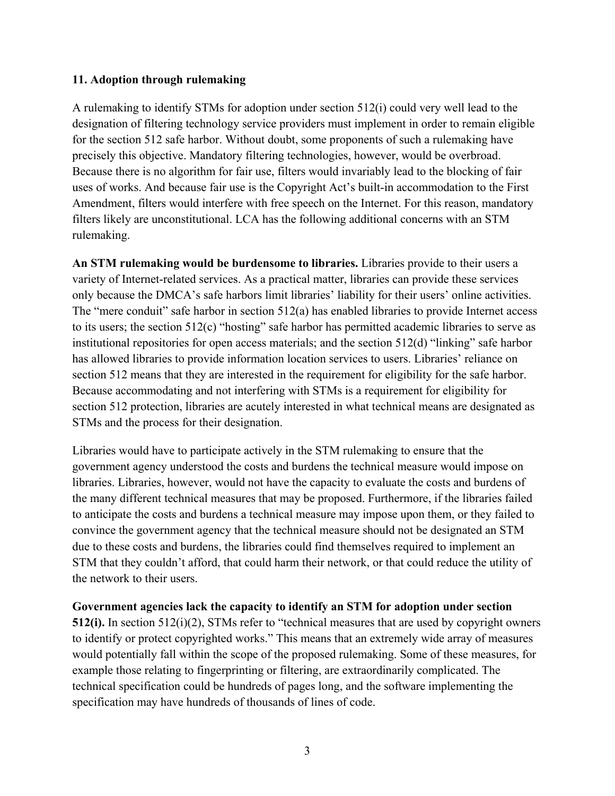## **11. Adoption through rulemaking**

A rulemaking to identify STMs for adoption under section 512(i) could very well lead to the designation of filtering technology service providers must implement in order to remain eligible for the section 512 safe harbor. Without doubt, some proponents of such a rulemaking have precisely this objective. Mandatory filtering technologies, however, would be overbroad. Because there is no algorithm for fair use, filters would invariably lead to the blocking of fair uses of works. And because fair use is the Copyright Act's built-in accommodation to the First Amendment, filters would interfere with free speech on the Internet. For this reason, mandatory filters likely are unconstitutional. LCA has the following additional concerns with an STM rulemaking.

**An STM rulemaking would be burdensome to libraries.** Libraries provide to their users a variety of Internet-related services. As a practical matter, libraries can provide these services only because the DMCA's safe harbors limit libraries' liability for their users' online activities. The "mere conduit" safe harbor in section  $512(a)$  has enabled libraries to provide Internet access to its users; the section 512(c) "hosting" safe harbor has permitted academic libraries to serve as institutional repositories for open access materials; and the section 512(d) "linking" safe harbor has allowed libraries to provide information location services to users. Libraries' reliance on section 512 means that they are interested in the requirement for eligibility for the safe harbor. Because accommodating and not interfering with STMs is a requirement for eligibility for section 512 protection, libraries are acutely interested in what technical means are designated as STMs and the process for their designation.

Libraries would have to participate actively in the STM rulemaking to ensure that the government agency understood the costs and burdens the technical measure would impose on libraries. Libraries, however, would not have the capacity to evaluate the costs and burdens of the many different technical measures that may be proposed. Furthermore, if the libraries failed to anticipate the costs and burdens a technical measure may impose upon them, or they failed to convince the government agency that the technical measure should not be designated an STM due to these costs and burdens, the libraries could find themselves required to implement an STM that they couldn't afford, that could harm their network, or that could reduce the utility of the network to their users.

## **Government agencies lack the capacity to identify an STM for adoption under section**

**512(i).** In section 512(i)(2), STMs refer to "technical measures that are used by copyright owners to identify or protect copyrighted works." This means that an extremely wide array of measures would potentially fall within the scope of the proposed rulemaking. Some of these measures, for example those relating to fingerprinting or filtering, are extraordinarily complicated. The technical specification could be hundreds of pages long, and the software implementing the specification may have hundreds of thousands of lines of code.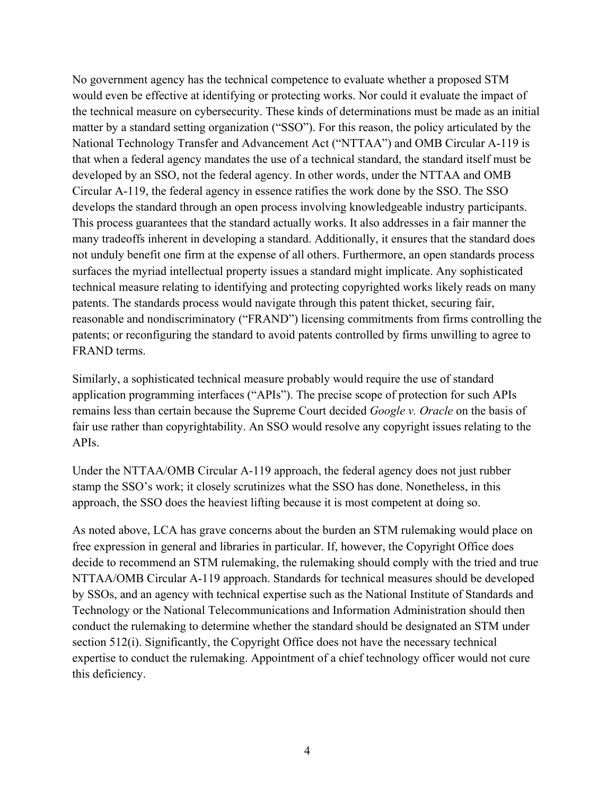No government agency has the technical competence to evaluate whether a proposed STM would even be effective at identifying or protecting works. Nor could it evaluate the impact of the technical measure on cybersecurity. These kinds of determinations must be made as an initial matter by a standard setting organization ("SSO"). For this reason, the policy articulated by the National Technology Transfer and Advancement Act ("NTTAA") and OMB Circular A-119 is that when a federal agency mandates the use of a technical standard, the standard itself must be developed by an SSO, not the federal agency. In other words, under the NTTAA and OMB Circular A-119, the federal agency in essence ratifies the work done by the SSO. The SSO develops the standard through an open process involving knowledgeable industry participants. This process guarantees that the standard actually works. It also addresses in a fair manner the many tradeoffs inherent in developing a standard. Additionally, it ensures that the standard does not unduly benefit one firm at the expense of all others. Furthermore, an open standards process surfaces the myriad intellectual property issues a standard might implicate. Any sophisticated technical measure relating to identifying and protecting copyrighted works likely reads on many patents. The standards process would navigate through this patent thicket, securing fair, reasonable and nondiscriminatory ("FRAND") licensing commitments from firms controlling the patents; or reconfiguring the standard to avoid patents controlled by firms unwilling to agree to FRAND terms.

Similarly, a sophisticated technical measure probably would require the use of standard application programming interfaces ("APIs"). The precise scope of protection for such APIs remains less than certain because the Supreme Court decided *Google v. Oracle* on the basis of fair use rather than copyrightability. An SSO would resolve any copyright issues relating to the APIs.

Under the NTTAA/OMB Circular A-119 approach, the federal agency does not just rubber stamp the SSO's work; it closely scrutinizes what the SSO has done. Nonetheless, in this approach, the SSO does the heaviest lifting because it is most competent at doing so.

As noted above, LCA has grave concerns about the burden an STM rulemaking would place on free expression in general and libraries in particular. If, however, the Copyright Office does decide to recommend an STM rulemaking, the rulemaking should comply with the tried and true NTTAA/OMB Circular A-119 approach. Standards for technical measures should be developed by SSOs, and an agency with technical expertise such as the National Institute of Standards and Technology or the National Telecommunications and Information Administration should then conduct the rulemaking to determine whether the standard should be designated an STM under section 512(i). Significantly, the Copyright Office does not have the necessary technical expertise to conduct the rulemaking. Appointment of a chief technology officer would not cure this deficiency.